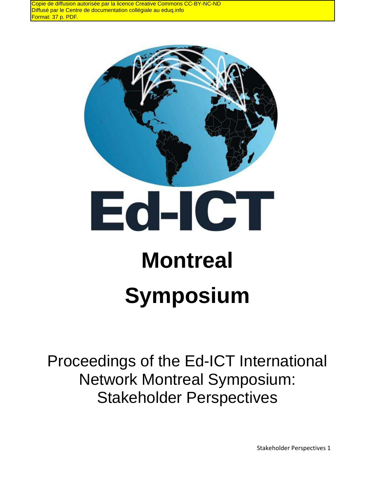Copie de diffusion autorisée par la licence Creative Commons CC-BY-NC-ND Diffusé par le Centre de documentation collégiale au eduq.info Format: 37 p. PDF.



# **Symposium**

Proceedings of the Ed-ICT International Network Montreal Symposium: Stakeholder Perspectives

Stakeholder Perspectives 1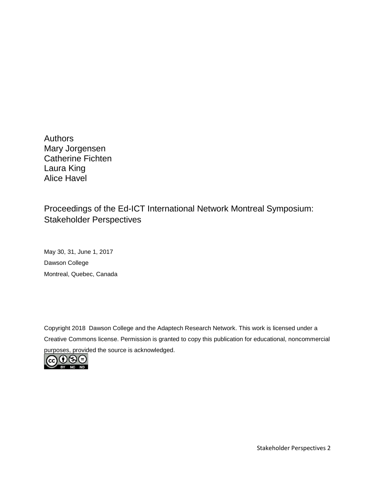**Authors** Mary Jorgensen Catherine Fichten Laura King Alice Havel

### Proceedings of the Ed-ICT International Network Montreal Symposium: Stakeholder Perspectives

May 30, 31, June 1, 2017 Dawson College Montreal, Quebec, Canada

Copyright 2018 Dawson College and the Adaptech Research Network. This work is licensed under a Creative Commons license. Permission is granted to copy this publication for educational, noncommercial purposes, provided the source is acknowledged.



Stakeholder Perspectives 2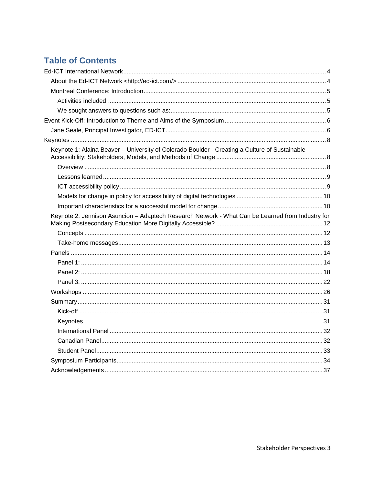## **Table of Contents**

<span id="page-2-0"></span>

| Keynote 1: Alaina Beaver - University of Colorado Boulder - Creating a Culture of Sustainable    |  |
|--------------------------------------------------------------------------------------------------|--|
|                                                                                                  |  |
|                                                                                                  |  |
|                                                                                                  |  |
|                                                                                                  |  |
|                                                                                                  |  |
| Keynote 2: Jennison Asuncion - Adaptech Research Network - What Can be Learned from Industry for |  |
|                                                                                                  |  |
|                                                                                                  |  |
|                                                                                                  |  |
|                                                                                                  |  |
|                                                                                                  |  |
|                                                                                                  |  |
|                                                                                                  |  |
|                                                                                                  |  |
|                                                                                                  |  |
|                                                                                                  |  |
|                                                                                                  |  |
|                                                                                                  |  |
|                                                                                                  |  |
|                                                                                                  |  |
|                                                                                                  |  |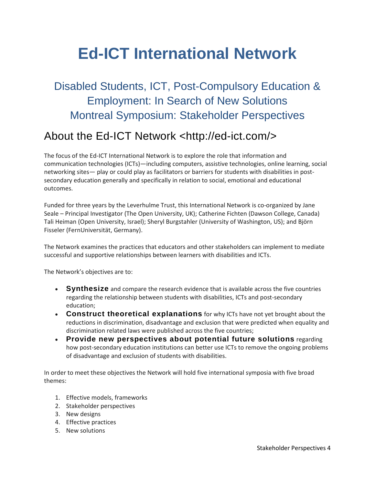# **Ed-ICT International Network**

# Disabled Students, ICT, Post-Compulsory Education & Employment: In Search of New Solutions Montreal Symposium: Stakeholder Perspectives

## <span id="page-3-0"></span>About the Ed-ICT Network <http://ed-ict.com/>

The focus of the Ed-ICT International Network is to explore the role that information and communication technologies (ICTs)—including computers, assistive technologies, online learning, social networking sites— play or could play as facilitators or barriers for students with disabilities in postsecondary education generally and specifically in relation to social, emotional and educational outcomes.

Funded for three years by the Leverhulme Trust, this International Network is co-organized by Jane Seale – Principal Investigator (The Open University, UK); Catherine Fichten (Dawson College, Canada) Tali Heiman (Open University, Israel); Sheryl Burgstahler (University of Washington, US); and Björn Fisseler (FernUniversität, Germany).

The Network examines the practices that educators and other stakeholders can implement to mediate successful and supportive relationships between learners with disabilities and ICTs.

The Network's objectives are to:

- **Synthesize** and compare the research evidence that is available across the five countries regarding the relationship between students with disabilities, ICTs and post-secondary education;
- **Construct theoretical explanations** for why ICTs have not yet brought about the reductions in discrimination, disadvantage and exclusion that were predicted when equality and discrimination related laws were published across the five countries;
- **Provide new perspectives about potential future solutions** regarding how post-secondary education institutions can better use ICTs to remove the ongoing problems of disadvantage and exclusion of students with disabilities.

In order to meet these objectives the Network will hold five international symposia with five broad themes:

- 1. Effective models, frameworks
- 2. Stakeholder perspectives
- 3. New designs
- 4. Effective practices
- 5. New solutions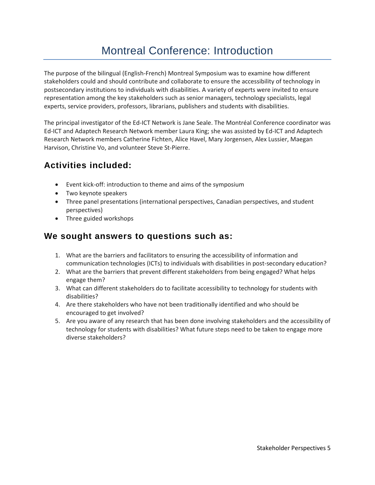# Montreal Conference: Introduction

<span id="page-4-0"></span>The purpose of the bilingual (English-French) Montreal Symposium was to examine how different stakeholders could and should contribute and collaborate to ensure the accessibility of technology in postsecondary institutions to individuals with disabilities. A variety of experts were invited to ensure representation among the key stakeholders such as senior managers, technology specialists, legal experts, service providers, professors, librarians, publishers and students with disabilities.

The principal investigator of the Ed-ICT Network is Jane Seale. The Montréal Conference coordinator was Ed-ICT and Adaptech Research Network member Laura King; she was assisted by Ed-ICT and Adaptech Research Network members Catherine Fichten, Alice Havel, Mary Jorgensen, Alex Lussier, Maegan Harvison, Christine Vo, and volunteer Steve St-Pierre.

## <span id="page-4-1"></span>**Activities included:**

- Event kick-off: introduction to theme and aims of the symposium
- Two keynote speakers
- Three panel presentations (international perspectives, Canadian perspectives, and student perspectives)
- Three guided workshops

#### <span id="page-4-2"></span>**We sought answers to questions such as:**

- 1. What are the barriers and facilitators to ensuring the accessibility of information and communication technologies (ICTs) to individuals with disabilities in post-secondary education?
- 2. What are the barriers that prevent different stakeholders from being engaged? What helps engage them?
- 3. What can different stakeholders do to facilitate accessibility to technology for students with disabilities?
- 4. Are there stakeholders who have not been traditionally identified and who should be encouraged to get involved?
- 5. Are you aware of any research that has been done involving stakeholders and the accessibility of technology for students with disabilities? What future steps need to be taken to engage more diverse stakeholders?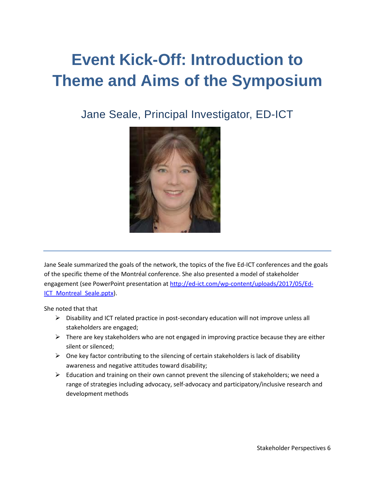# <span id="page-5-0"></span>**Event Kick-Off: Introduction to Theme and Aims of the Symposium**

<span id="page-5-1"></span>Jane Seale, Principal Investigator, ED-ICT



Jane Seale summarized the goals of the network, the topics of the five Ed-ICT conferences and the goals of the specific theme of the Montréal conference. She also presented a model of stakeholder engagement (see PowerPoint presentation a[t http://ed-ict.com/wp-content/uploads/2017/05/Ed-](http://ed-ict.com/wp-content/uploads/2017/05/Ed-ICT_Montreal_Seale.pptx)ICT Montreal Seale.pptx).

She noted that that

- $\triangleright$  Disability and ICT related practice in post-secondary education will not improve unless all stakeholders are engaged;
- $\triangleright$  There are key stakeholders who are not engaged in improving practice because they are either silent or silenced;
- $\triangleright$  One key factor contributing to the silencing of certain stakeholders is lack of disability awareness and negative attitudes toward disability;
- $\triangleright$  Education and training on their own cannot prevent the silencing of stakeholders; we need a range of strategies including advocacy, self-advocacy and participatory/inclusive research and development methods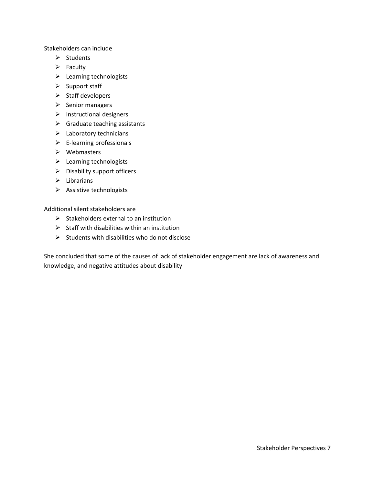Stakeholders can include

- $\triangleright$  Students
- $\triangleright$  Faculty
- $\triangleright$  Learning technologists
- $\triangleright$  Support staff
- $\triangleright$  Staff developers
- $\triangleright$  Senior managers
- $\triangleright$  Instructional designers
- $\triangleright$  Graduate teaching assistants
- $\blacktriangleright$  Laboratory technicians
- $\triangleright$  E-learning professionals
- $\triangleright$  Webmasters
- $\blacktriangleright$  Learning technologists
- $\triangleright$  Disability support officers
- $\triangleright$  Librarians
- $\triangleright$  Assistive technologists

Additional silent stakeholders are

- $\triangleright$  Stakeholders external to an institution
- $\triangleright$  Staff with disabilities within an institution
- $\triangleright$  Students with disabilities who do not disclose

She concluded that some of the causes of lack of stakeholder engagement are lack of awareness and knowledge, and negative attitudes about disability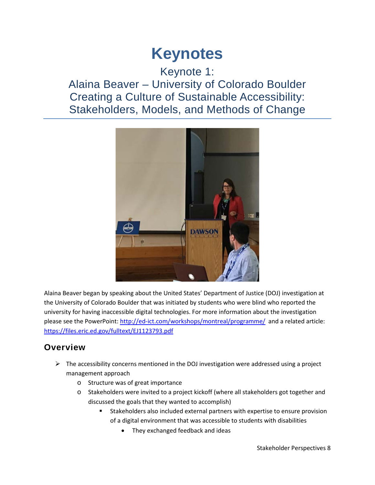# <span id="page-7-1"></span>**Keynotes**

## <span id="page-7-0"></span>Keynote 1: Alaina Beaver – University of Colorado Boulder Creating a Culture of Sustainable Accessibility: Stakeholders, Models, and Methods of Change



Alaina Beaver began by speaking about the United States' Department of Justice (DOJ) investigation at the University of Colorado Boulder that was initiated by students who were blind who reported the university for having inaccessible digital technologies. For more information about the investigation please see the PowerPoint: <http://ed-ict.com/workshops/montreal/programme/>and a related article: <https://files.eric.ed.gov/fulltext/EJ1123793.pdf>

### <span id="page-7-2"></span>**Overview**

- $\triangleright$  The accessibility concerns mentioned in the DOJ investigation were addressed using a project management approach
	- o Structure was of great importance
	- o Stakeholders were invited to a project kickoff (where all stakeholders got together and discussed the goals that they wanted to accomplish)
		- **EXTER** Stakeholders also included external partners with expertise to ensure provision of a digital environment that was accessible to students with disabilities
			- They exchanged feedback and ideas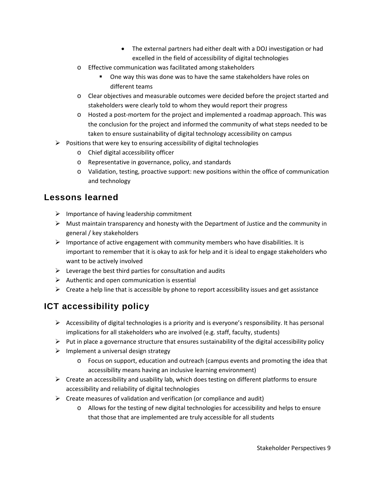- The external partners had either dealt with a DOJ investigation or had excelled in the field of accessibility of digital technologies
- o Effective communication was facilitated among stakeholders
	- One way this was done was to have the same stakeholders have roles on different teams
- o Clear objectives and measurable outcomes were decided before the project started and stakeholders were clearly told to whom they would report their progress
- o Hosted a post-mortem for the project and implemented a roadmap approach. This was the conclusion for the project and informed the community of what steps needed to be taken to ensure sustainability of digital technology accessibility on campus
- $\triangleright$  Positions that were key to ensuring accessibility of digital technologies
	- o Chief digital accessibility officer
	- o Representative in governance, policy, and standards
	- o Validation, testing, proactive support: new positions within the office of communication and technology

## <span id="page-8-0"></span>**Lessons learned**

- $\triangleright$  Importance of having leadership commitment
- $\triangleright$  Must maintain transparency and honesty with the Department of Justice and the community in general / key stakeholders
- $\triangleright$  Importance of active engagement with community members who have disabilities. It is important to remember that it is okay to ask for help and it is ideal to engage stakeholders who want to be actively involved
- $\triangleright$  Leverage the best third parties for consultation and audits
- $\triangleright$  Authentic and open communication is essential
- $\triangleright$  Create a help line that is accessible by phone to report accessibility issues and get assistance

## <span id="page-8-1"></span>**ICT accessibility policy**

- $\triangleright$  Accessibility of digital technologies is a priority and is everyone's responsibility. It has personal implications for all stakeholders who are involved (e.g. staff, faculty, students)
- $\triangleright$  Put in place a governance structure that ensures sustainability of the digital accessibility policy
- $\triangleright$  Implement a universal design strategy
	- o Focus on support, education and outreach (campus events and promoting the idea that accessibility means having an inclusive learning environment)
- $\triangleright$  Create an accessibility and usability lab, which does testing on different platforms to ensure accessibility and reliability of digital technologies
- $\triangleright$  Create measures of validation and verification (or compliance and audit)
	- o Allows for the testing of new digital technologies for accessibility and helps to ensure that those that are implemented are truly accessible for all students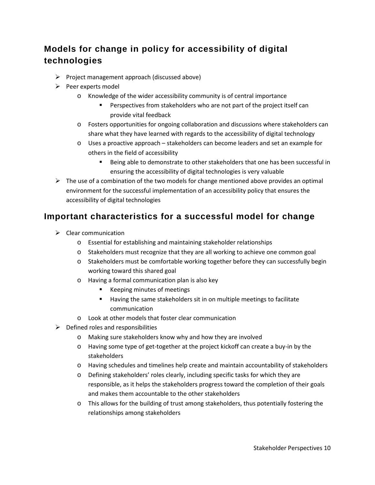## <span id="page-9-0"></span>**Models for change in policy for accessibility of digital technologies**

- $\triangleright$  Project management approach (discussed above)
- $\triangleright$  Peer experts model
	- o Knowledge of the wider accessibility community is of central importance
		- Perspectives from stakeholders who are not part of the project itself can provide vital feedback
	- o Fosters opportunities for ongoing collaboration and discussions where stakeholders can share what they have learned with regards to the accessibility of digital technology
	- o Uses a proactive approach stakeholders can become leaders and set an example for others in the field of accessibility
		- Being able to demonstrate to other stakeholders that one has been successful in ensuring the accessibility of digital technologies is very valuable
- $\triangleright$  The use of a combination of the two models for change mentioned above provides an optimal environment for the successful implementation of an accessibility policy that ensures the accessibility of digital technologies

#### <span id="page-9-1"></span>**Important characteristics for a successful model for change**

- $\triangleright$  Clear communication
	- o Essential for establishing and maintaining stakeholder relationships
	- o Stakeholders must recognize that they are all working to achieve one common goal
	- o Stakeholders must be comfortable working together before they can successfully begin working toward this shared goal
	- o Having a formal communication plan is also key
		- Keeping minutes of meetings
		- **Having the same stakeholders sit in on multiple meetings to facilitate** communication
	- o Look at other models that foster clear communication
- $\triangleright$  Defined roles and responsibilities
	- o Making sure stakeholders know why and how they are involved
	- o Having some type of get-together at the project kickoff can create a buy-in by the stakeholders
	- o Having schedules and timelines help create and maintain accountability of stakeholders
	- o Defining stakeholders' roles clearly, including specific tasks for which they are responsible, as it helps the stakeholders progress toward the completion of their goals and makes them accountable to the other stakeholders
	- o This allows for the building of trust among stakeholders, thus potentially fostering the relationships among stakeholders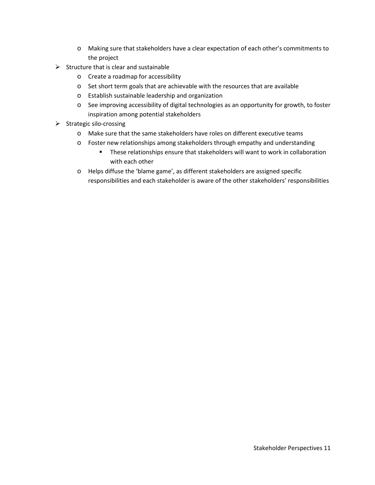- o Making sure that stakeholders have a clear expectation of each other's commitments to the project
- $\triangleright$  Structure that is clear and sustainable
	- o Create a roadmap for accessibility
	- o Set short term goals that are achievable with the resources that are available
	- o Establish sustainable leadership and organization
	- o See improving accessibility of digital technologies as an opportunity for growth, to foster inspiration among potential stakeholders
- $\triangleright$  Strategic silo-crossing
	- o Make sure that the same stakeholders have roles on different executive teams
	- o Foster new relationships among stakeholders through empathy and understanding
		- **These relationships ensure that stakeholders will want to work in collaboration** with each other
	- o Helps diffuse the 'blame game', as different stakeholders are assigned specific responsibilities and each stakeholder is aware of the other stakeholders' responsibilities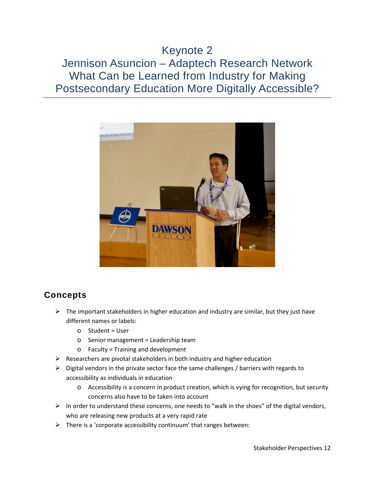## <span id="page-11-0"></span>Keynote 2 Jennison Asuncion – Adaptech Research Network What Can be Learned from Industry for Making Postsecondary Education More Digitally Accessible?



## <span id="page-11-1"></span>**Concepts**

- $\triangleright$  The important stakeholders in higher education and industry are similar, but they just have different names or labels:
	- o Student = User
	- o Senior management = Leadership team
	- o Faculty = Training and development
- $\triangleright$  Researchers are pivotal stakeholders in both industry and higher education
- $\triangleright$  Digital vendors in the private sector face the same challenges / barriers with regards to accessibility as individuals in education
	- o Accessibility is a concern in product creation, which is vying for recognition, but security concerns also have to be taken into account
- $\triangleright$  In order to understand these concerns, one needs to "walk in the shoes" of the digital vendors, who are releasing new products at a very rapid rate
- $\triangleright$  There is a 'corporate accessibility continuum' that ranges between: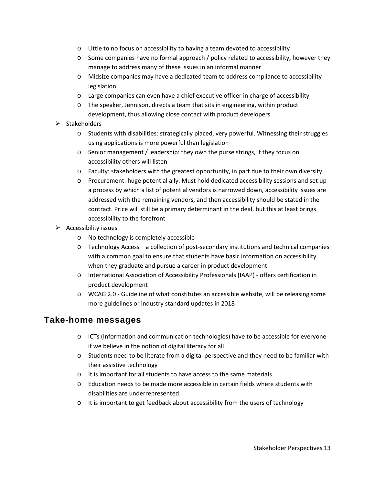- o Little to no focus on accessibility to having a team devoted to accessibility
- $\circ$  Some companies have no formal approach / policy related to accessibility, however they manage to address many of these issues in an informal manner
- o Midsize companies may have a dedicated team to address compliance to accessibility legislation
- o Large companies can even have a chief executive officer in charge of accessibility
- o The speaker, Jennison, directs a team that sits in engineering, within product development, thus allowing close contact with product developers
- $\triangleright$  Stakeholders
	- o Students with disabilities: strategically placed, very powerful. Witnessing their struggles using applications is more powerful than legislation
	- o Senior management / leadership: they own the purse strings, if they focus on accessibility others will listen
	- o Faculty: stakeholders with the greatest opportunity, in part due to their own diversity
	- o Procurement: huge potential ally. Must hold dedicated accessibility sessions and set up a process by which a list of potential vendors is narrowed down, accessibility issues are addressed with the remaining vendors, and then accessibility should be stated in the contract. Price will still be a primary determinant in the deal, but this at least brings accessibility to the forefront
- $\triangleright$  Accessibility issues
	- o No technology is completely accessible
	- $\circ$  Technology Access a collection of post-secondary institutions and technical companies with a common goal to ensure that students have basic information on accessibility when they graduate and pursue a career in product development
	- o International Association of Accessibility Professionals (IAAP) offers certification in product development
	- o WCAG 2.0 Guideline of what constitutes an accessible website, will be releasing some more guidelines or industry standard updates in 2018

#### <span id="page-12-0"></span>**Take-home messages**

- o ICTs (Information and communication technologies) have to be accessible for everyone if we believe in the notion of digital literacy for all
- o Students need to be literate from a digital perspective and they need to be familiar with their assistive technology
- o It is important for all students to have access to the same materials
- o Education needs to be made more accessible in certain fields where students with disabilities are underrepresented
- o It is important to get feedback about accessibility from the users of technology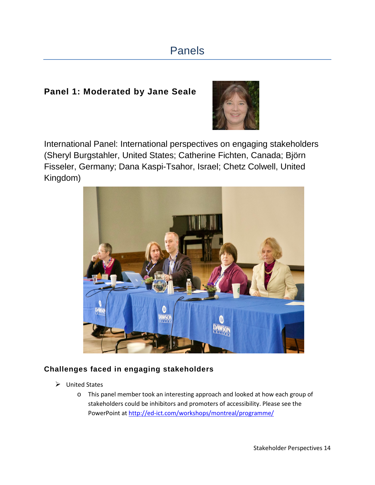# Panels

#### <span id="page-13-1"></span><span id="page-13-0"></span>**Panel 1: Moderated by Jane Seale**



International Panel: International perspectives on engaging stakeholders (Sheryl Burgstahler, United States; Catherine Fichten, Canada; Björn Fisseler, Germany; Dana Kaspi-Tsahor, Israel; Chetz Colwell, United Kingdom)



#### **Challenges faced in engaging stakeholders**

- $\triangleright$  United States
	- o This panel member took an interesting approach and looked at how each group of stakeholders could be inhibitors and promoters of accessibility. Please see the PowerPoint at <http://ed-ict.com/workshops/montreal/programme/>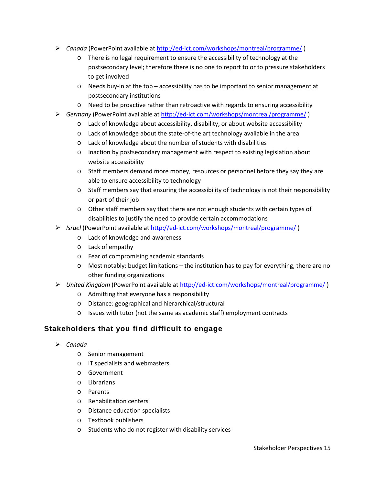- *Canada* (PowerPoint available at<http://ed-ict.com/workshops/montreal/programme/>)
	- o There is no legal requirement to ensure the accessibility of technology at the postsecondary level; therefore there is no one to report to or to pressure stakeholders to get involved
	- $\circ$  Needs buy-in at the top accessibility has to be important to senior management at postsecondary institutions
	- o Need to be proactive rather than retroactive with regards to ensuring accessibility
- *Germany* (PowerPoint available at<http://ed-ict.com/workshops/montreal/programme/>)
	- o Lack of knowledge about accessibility, disability, or about website accessibility
	- o Lack of knowledge about the state-of-the art technology available in the area
	- o Lack of knowledge about the number of students with disabilities
	- o Inaction by postsecondary management with respect to existing legislation about website accessibility
	- o Staff members demand more money, resources or personnel before they say they are able to ensure accessibility to technology
	- $\circ$  Staff members say that ensuring the accessibility of technology is not their responsibility or part of their job
	- o Other staff members say that there are not enough students with certain types of disabilities to justify the need to provide certain accommodations
- *Israel* (PowerPoint available at<http://ed-ict.com/workshops/montreal/programme/>)
	- o Lack of knowledge and awareness
	- o Lack of empathy
	- o Fear of compromising academic standards
	- $\circ$  Most notably: budget limitations the institution has to pay for everything, there are no other funding organizations
- *United Kingdom* (PowerPoint available at<http://ed-ict.com/workshops/montreal/programme/>)
	- o Admitting that everyone has a responsibility
	- o Distance: geographical and hierarchical/structural
	- o Issues with tutor (not the same as academic staff) employment contracts

#### **Stakeholders that you find difficult to engage**

- *Canada*
	- o Senior management
	- o IT specialists and webmasters
	- o Government
	- o Librarians
	- o Parents
	- o Rehabilitation centers
	- o Distance education specialists
	- o Textbook publishers
	- o Students who do not register with disability services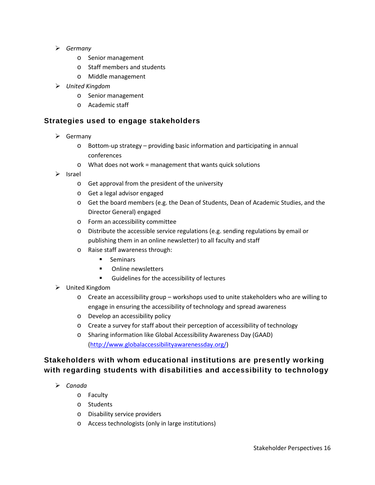- *Germany*
	- o Senior management
	- o Staff members and students
	- o Middle management
- *United Kingdom*
	- o Senior management
	- o Academic staff

#### **Strategies used to engage stakeholders**

- $\triangleright$  Germany
	- o Bottom-up strategy providing basic information and participating in annual conferences
	- o What does not work = management that wants quick solutions
- $\triangleright$  Israel
	- o Get approval from the president of the university
	- o Get a legal advisor engaged
	- o Get the board members (e.g. the Dean of Students, Dean of Academic Studies, and the Director General) engaged
	- o Form an accessibility committee
	- o Distribute the accessible service regulations (e.g. sending regulations by email or publishing them in an online newsletter) to all faculty and staff
	- o Raise staff awareness through:
		- **Seminars**
		- Online newsletters
		- **Guidelines for the accessibility of lectures**
- United Kingdom
	- o Create an accessibility group workshops used to unite stakeholders who are willing to engage in ensuring the accessibility of technology and spread awareness
	- o Develop an accessibility policy
	- o Create a survey for staff about their perception of accessibility of technology
	- o Sharing information like Global Accessibility Awareness Day (GAAD) [\(http://www.globalaccessibilityawarenessday.org/\)](http://www.globalaccessibilityawarenessday.org/)

#### **Stakeholders with whom educational institutions are presently working with regarding students with disabilities and accessibility to technology**

- *Canada*
	- o Faculty
	- o Students
	- o Disability service providers
	- o Access technologists (only in large institutions)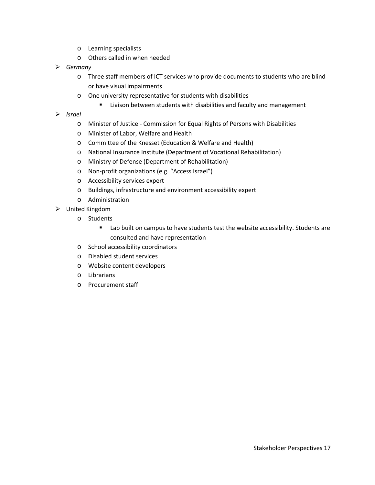- o Learning specialists
- o Others called in when needed
- *Germany*
	- o Three staff members of ICT services who provide documents to students who are blind or have visual impairments
	- o One university representative for students with disabilities
		- Liaison between students with disabilities and faculty and management
- *Israel*
	- o Minister of Justice Commission for Equal Rights of Persons with Disabilities
	- o Minister of Labor, Welfare and Health
	- o Committee of the Knesset (Education & Welfare and Health)
	- o National Insurance Institute (Department of Vocational Rehabilitation)
	- o Ministry of Defense (Department of Rehabilitation)
	- o Non-profit organizations (e.g. "Access Israel")
	- o Accessibility services expert
	- o Buildings, infrastructure and environment accessibility expert
	- o Administration
- <span id="page-16-0"></span> United Kingdom
	- o Students
		- **EXEC** Lab built on campus to have students test the website accessibility. Students are consulted and have representation
	- o School accessibility coordinators
	- o Disabled student services
	- o Website content developers
	- o Librarians
	- o Procurement staff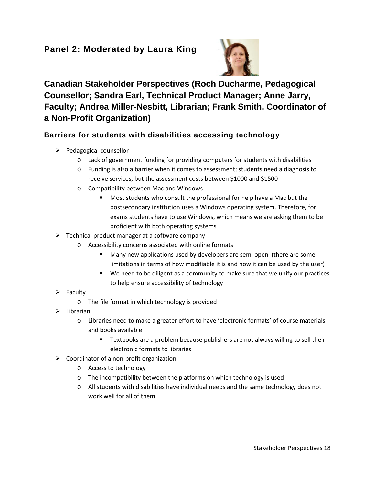### **Panel 2: Moderated by Laura King**



## **Canadian Stakeholder Perspectives (Roch Ducharme, Pedagogical Counsellor; Sandra Earl, Technical Product Manager; Anne Jarry, Faculty; Andrea Miller-Nesbitt, Librarian; Frank Smith, Coordinator of a Non-Profit Organization)**

#### **Barriers for students with disabilities accessing technology**

- $\triangleright$  Pedagogical counsellor
	- o Lack of government funding for providing computers for students with disabilities
	- o Funding is also a barrier when it comes to assessment; students need a diagnosis to receive services, but the assessment costs between \$1000 and \$1500
	- o Compatibility between Mac and Windows
		- **Most students who consult the professional for help have a Mac but the** postsecondary institution uses a Windows operating system. Therefore, for exams students have to use Windows, which means we are asking them to be proficient with both operating systems
- $\triangleright$  Technical product manager at a software company
	- o Accessibility concerns associated with online formats
		- Many new applications used by developers are semi open (there are some limitations in terms of how modifiable it is and how it can be used by the user)
		- We need to be diligent as a community to make sure that we unify our practices to help ensure accessibility of technology
- $\triangleright$  Faculty
	- o The file format in which technology is provided
- $\triangleright$  Librarian
	- o Libraries need to make a greater effort to have 'electronic formats' of course materials and books available
		- **Textbooks are a problem because publishers are not always willing to sell their** electronic formats to libraries
- $\triangleright$  Coordinator of a non-profit organization
	- o Access to technology
	- o The incompatibility between the platforms on which technology is used
	- o All students with disabilities have individual needs and the same technology does not work well for all of them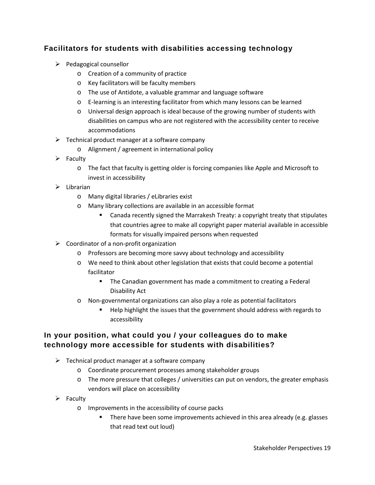#### **Facilitators for students with disabilities accessing technology**

- $\triangleright$  Pedagogical counsellor
	- o Creation of a community of practice
	- o Key facilitators will be faculty members
	- o The use of Antidote, a valuable grammar and language software
	- o E-learning is an interesting facilitator from which many lessons can be learned
	- o Universal design approach is ideal because of the growing number of students with disabilities on campus who are not registered with the accessibility center to receive accommodations
- $\triangleright$  Technical product manager at a software company
	- o Alignment / agreement in international policy
- $\triangleright$  Faculty
	- o The fact that faculty is getting older is forcing companies like Apple and Microsoft to invest in accessibility
- $\triangleright$  Librarian
	- o Many digital libraries / eLibraries exist
	- o Many library collections are available in an accessible format
		- Canada recently signed the Marrakesh Treaty: a copyright treaty that stipulates that countries agree to make all copyright paper material available in accessible formats for visually impaired persons when requested
- $\triangleright$  Coordinator of a non-profit organization
	- o Professors are becoming more savvy about technology and accessibility
	- o We need to think about other legislation that exists that could become a potential facilitator
		- **The Canadian government has made a commitment to creating a Federal** Disability Act
	- o Non-governmental organizations can also play a role as potential facilitators
		- Help highlight the issues that the government should address with regards to accessibility

#### **In your position, what could you / your colleagues do to make technology more accessible for students with disabilities?**

- $\triangleright$  Technical product manager at a software company
	- o Coordinate procurement processes among stakeholder groups
	- $\circ$  The more pressure that colleges / universities can put on vendors, the greater emphasis vendors will place on accessibility
- $\triangleright$  Faculty
	- o Improvements in the accessibility of course packs
		- **There have been some improvements achieved in this area already (e.g. glasses** that read text out loud)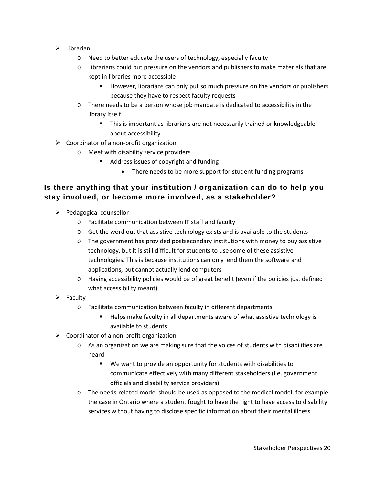- $\triangleright$  Librarian
	- o Need to better educate the users of technology, especially faculty
	- o Librarians could put pressure on the vendors and publishers to make materials that are kept in libraries more accessible
		- However, librarians can only put so much pressure on the vendors or publishers because they have to respect faculty requests
	- o There needs to be a person whose job mandate is dedicated to accessibility in the library itself
		- **This is important as librarians are not necessarily trained or knowledgeable** about accessibility
- $\triangleright$  Coordinator of a non-profit organization
	- o Meet with disability service providers
		- **Address issues of copyright and funding** 
			- There needs to be more support for student funding programs

#### **Is there anything that your institution / organization can do to help you stay involved, or become more involved, as a stakeholder?**

- $\triangleright$  Pedagogical counsellor
	- o Facilitate communication between IT staff and faculty
	- o Get the word out that assistive technology exists and is available to the students
	- o The government has provided postsecondary institutions with money to buy assistive technology, but it is still difficult for students to use some of these assistive technologies. This is because institutions can only lend them the software and applications, but cannot actually lend computers
	- o Having accessibility policies would be of great benefit (even if the policies just defined what accessibility meant)
- $\triangleright$  Faculty
	- o Facilitate communication between faculty in different departments
		- Helps make faculty in all departments aware of what assistive technology is available to students
- $\triangleright$  Coordinator of a non-profit organization
	- o As an organization we are making sure that the voices of students with disabilities are heard
		- We want to provide an opportunity for students with disabilities to communicate effectively with many different stakeholders (i.e. government officials and disability service providers)
	- o The needs-related model should be used as opposed to the medical model, for example the case in Ontario where a student fought to have the right to have access to disability services without having to disclose specific information about their mental illness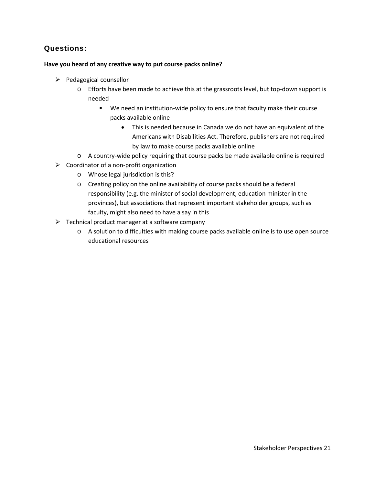#### **Questions:**

#### **Have you heard of any creative way to put course packs online?**

- $\triangleright$  Pedagogical counsellor
	- o Efforts have been made to achieve this at the grassroots level, but top-down support is needed
		- We need an institution-wide policy to ensure that faculty make their course packs available online
			- This is needed because in Canada we do not have an equivalent of the Americans with Disabilities Act. Therefore, publishers are not required by law to make course packs available online
	- o A country-wide policy requiring that course packs be made available online is required
- $\triangleright$  Coordinator of a non-profit organization
	- o Whose legal jurisdiction is this?
	- o Creating policy on the online availability of course packs should be a federal responsibility (e.g. the minister of social development, education minister in the provinces), but associations that represent important stakeholder groups, such as faculty, might also need to have a say in this
- $\triangleright$  Technical product manager at a software company
	- o A solution to difficulties with making course packs available online is to use open source educational resources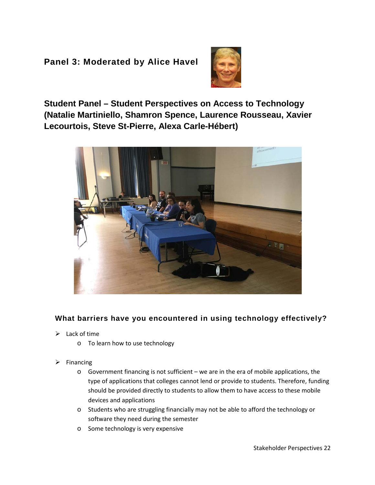#### <span id="page-21-0"></span>**Panel 3: Moderated by Alice Havel**



**Student Panel – Student Perspectives on Access to Technology (Natalie Martiniello, Shamron Spence, Laurence Rousseau, Xavier Lecourtois, Steve St-Pierre, Alexa Carle-Hébert)** 



#### **What barriers have you encountered in using technology effectively?**

- $\blacktriangleright$  Lack of time
	- o To learn how to use technology
- $\triangleright$  Financing
	- o Government financing is not sufficient we are in the era of mobile applications, the type of applications that colleges cannot lend or provide to students. Therefore, funding should be provided directly to students to allow them to have access to these mobile devices and applications
	- o Students who are struggling financially may not be able to afford the technology or software they need during the semester
	- o Some technology is very expensive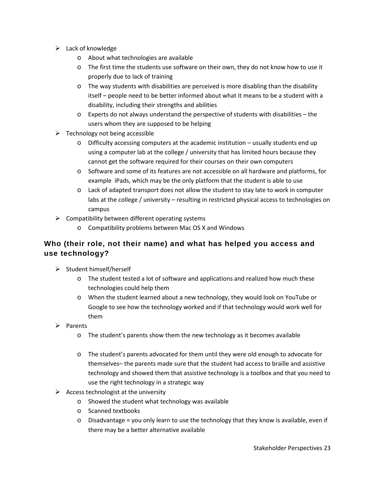- $\blacktriangleright$  Lack of knowledge
	- o About what technologies are available
	- o The first time the students use software on their own, they do not know how to use it properly due to lack of training
	- $\circ$  The way students with disabilities are perceived is more disabling than the disability itself – people need to be better informed about what it means to be a student with a disability, including their strengths and abilities
	- o Experts do not always understand the perspective of students with disabilities the users whom they are supposed to be helping
- $\triangleright$  Technology not being accessible
	- $\circ$  Difficulty accessing computers at the academic institution usually students end up using a computer lab at the college / university that has limited hours because they cannot get the software required for their courses on their own computers
	- o Software and some of its features are not accessible on all hardware and platforms, for example iPads, which may be the only platform that the student is able to use
	- o Lack of adapted transport does not allow the student to stay late to work in computer labs at the college / university – resulting in restricted physical access to technologies on campus
- $\triangleright$  Compatibility between different operating systems
	- o Compatibility problems between Mac OS X and Windows

#### **Who (their role, not their name) and what has helped you access and use technology?**

- $\triangleright$  Student himself/herself
	- o The student tested a lot of software and applications and realized how much these technologies could help them
	- o When the student learned about a new technology, they would look on YouTube or Google to see how the technology worked and if that technology would work well for them
- $\triangleright$  Parents
	- o The student's parents show them the new technology as it becomes available
	- o The student's parents advocated for them until they were old enough to advocate for themselves– the parents made sure that the student had access to braille and assistive technology and showed them that assistive technology is a toolbox and that you need to use the right technology in a strategic way
- $\triangleright$  Access technologist at the university
	- o Showed the student what technology was available
	- o Scanned textbooks
	- $\circ$  Disadvantage = you only learn to use the technology that they know is available, even if there may be a better alternative available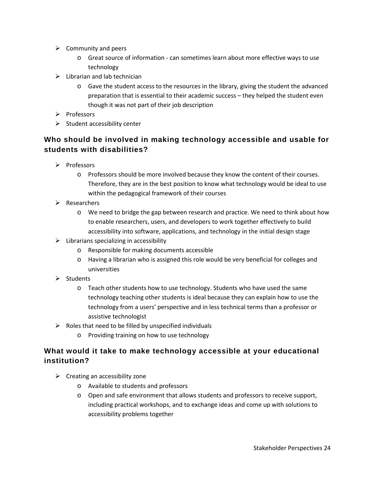- $\triangleright$  Community and peers
	- o Great source of information can sometimes learn about more effective ways to use technology
- $\triangleright$  Librarian and lab technician
	- o Gave the student access to the resources in the library, giving the student the advanced preparation that is essential to their academic success – they helped the student even though it was not part of their job description
- $\triangleright$  Professors
- $\triangleright$  Student accessibility center

#### **Who should be involved in making technology accessible and usable for students with disabilities?**

- $\triangleright$  Professors
	- o Professors should be more involved because they know the content of their courses. Therefore, they are in the best position to know what technology would be ideal to use within the pedagogical framework of their courses
- $\triangleright$  Researchers
	- o We need to bridge the gap between research and practice. We need to think about how to enable researchers, users, and developers to work together effectively to build accessibility into software, applications, and technology in the initial design stage
- $\triangleright$  Librarians specializing in accessibility
	- o Responsible for making documents accessible
	- o Having a librarian who is assigned this role would be very beneficial for colleges and universities
- $\triangleright$  Students
	- o Teach other students how to use technology. Students who have used the same technology teaching other students is ideal because they can explain how to use the technology from a users' perspective and in less technical terms than a professor or assistive technologist
- $\triangleright$  Roles that need to be filled by unspecified individuals
	- o Providing training on how to use technology

#### **What would it take to make technology accessible at your educational institution?**

- $\triangleright$  Creating an accessibility zone
	- o Available to students and professors
	- o Open and safe environment that allows students and professors to receive support, including practical workshops, and to exchange ideas and come up with solutions to accessibility problems together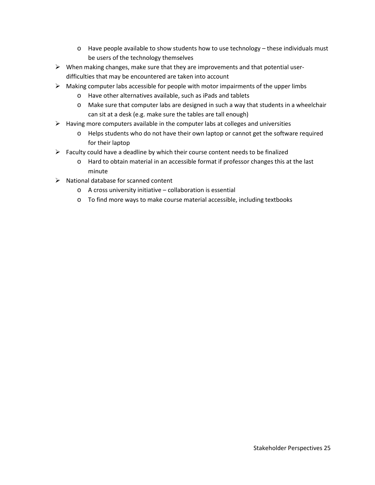- o Have people available to show students how to use technology these individuals must be users of the technology themselves
- $\triangleright$  When making changes, make sure that they are improvements and that potential userdifficulties that may be encountered are taken into account
- $\triangleright$  Making computer labs accessible for people with motor impairments of the upper limbs
	- o Have other alternatives available, such as iPads and tablets
	- o Make sure that computer labs are designed in such a way that students in a wheelchair can sit at a desk (e.g. make sure the tables are tall enough)
- $\triangleright$  Having more computers available in the computer labs at colleges and universities
	- o Helps students who do not have their own laptop or cannot get the software required for their laptop
- $\triangleright$  Faculty could have a deadline by which their course content needs to be finalized
	- o Hard to obtain material in an accessible format if professor changes this at the last minute
- $\triangleright$  National database for scanned content
	- o A cross university initiative collaboration is essential
	- o To find more ways to make course material accessible, including textbooks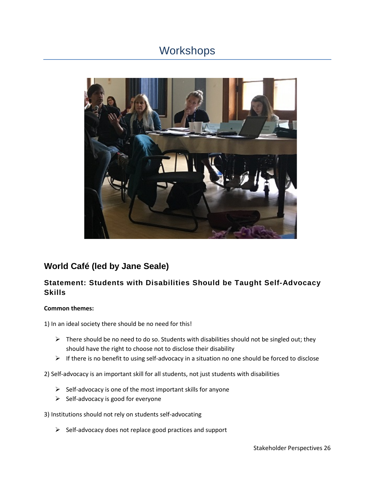## <span id="page-25-0"></span>**Workshops**



### **World Café (led by Jane Seale)**

#### **Statement: Students with Disabilities Should be Taught Self-Advocacy Skills**

#### **Common themes:**

1) In an ideal society there should be no need for this!

- $\triangleright$  There should be no need to do so. Students with disabilities should not be singled out; they should have the right to choose not to disclose their disability
- $\triangleright$  If there is no benefit to using self-advocacy in a situation no one should be forced to disclose
- 2) Self-advocacy is an important skill for all students, not just students with disabilities
	- $\triangleright$  Self-advocacy is one of the most important skills for anyone
	- $\triangleright$  Self-advocacy is good for everyone
- 3) Institutions should not rely on students self-advocating
	- $\triangleright$  Self-advocacy does not replace good practices and support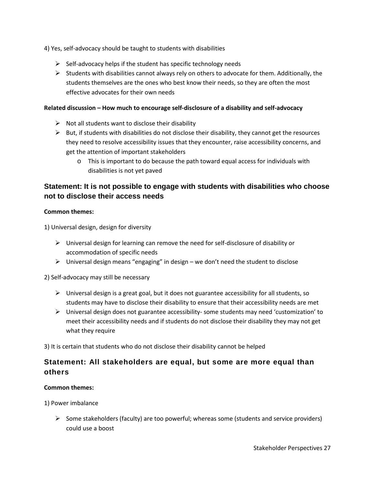4) Yes, self-advocacy should be taught to students with disabilities

- $\triangleright$  Self-advocacy helps if the student has specific technology needs
- $\triangleright$  Students with disabilities cannot always rely on others to advocate for them. Additionally, the students themselves are the ones who best know their needs, so they are often the most effective advocates for their own needs

#### **Related discussion – How much to encourage self-disclosure of a disability and self-advocacy**

- $\triangleright$  Not all students want to disclose their disability
- $\triangleright$  But, if students with disabilities do not disclose their disability, they cannot get the resources they need to resolve accessibility issues that they encounter, raise accessibility concerns, and get the attention of important stakeholders
	- o This is important to do because the path toward equal access for individuals with disabilities is not yet paved

#### **Statement: It is not possible to engage with students with disabilities who choose not to disclose their access needs**

#### **Common themes:**

1) Universal design, design for diversity

- $\triangleright$  Universal design for learning can remove the need for self-disclosure of disability or accommodation of specific needs
- $\triangleright$  Universal design means "engaging" in design we don't need the student to disclose

2) Self-advocacy may still be necessary

- $\triangleright$  Universal design is a great goal, but it does not guarantee accessibility for all students, so students may have to disclose their disability to ensure that their accessibility needs are met
- $\triangleright$  Universal design does not guarantee accessibility- some students may need 'customization' to meet their accessibility needs and if students do not disclose their disability they may not get what they require

3) It is certain that students who do not disclose their disability cannot be helped

#### **Statement: All stakeholders are equal, but some are more equal than others**

#### **Common themes:**

1) Power imbalance

 $\triangleright$  Some stakeholders (faculty) are too powerful; whereas some (students and service providers) could use a boost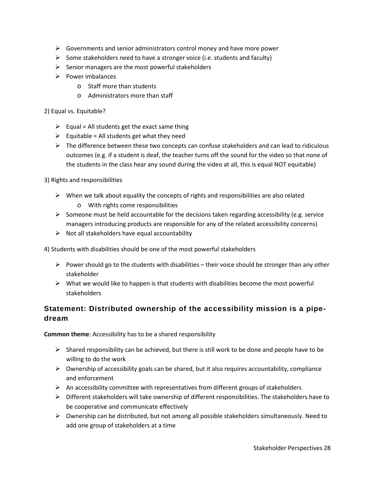- $\triangleright$  Governments and senior administrators control money and have more power
- Some stakeholders need to have a stronger voice (i.e. students and faculty)
- $\triangleright$  Senior managers are the most powerful stakeholders
- $\triangleright$  Power imbalances
	- o Staff more than students
	- o Administrators more than staff

#### 2) Equal vs. Equitable?

- $\triangleright$  Equal = All students get the exact same thing
- $\triangleright$  Equitable = All students get what they need
- $\triangleright$  The difference between these two concepts can confuse stakeholders and can lead to ridiculous outcomes (e.g. if a student is deaf, the teacher turns off the sound for the video so that none of the students in the class hear any sound during the video at all, this is equal NOT equitable)

3) Rights and responsibilities

- $\triangleright$  When we talk about equality the concepts of rights and responsibilities are also related o With rights come responsibilities
- $\triangleright$  Someone must be held accountable for the decisions taken regarding accessibility (e.g. service managers introducing products are responsible for any of the related accessibility concerns)
- $\triangleright$  Not all stakeholders have equal accountability

4) Students with disabilities should be one of the most powerful stakeholders

- $\triangleright$  Power should go to the students with disabilities their voice should be stronger than any other stakeholder
- $\triangleright$  What we would like to happen is that students with disabilities become the most powerful stakeholders

#### **Statement: Distributed ownership of the accessibility mission is a pipedream**

**Common theme**: Accessibility has to be a shared responsibility

- $\triangleright$  Shared responsibility can be achieved, but there is still work to be done and people have to be willing to do the work
- $\triangleright$  Ownership of accessibility goals can be shared, but it also requires accountability, compliance and enforcement
- $\triangleright$  An accessibility committee with representatives from different groups of stakeholders
- $\triangleright$  Different stakeholders will take ownership of different responsibilities. The stakeholders have to be cooperative and communicate effectively
- $\triangleright$  Ownership can be distributed, but not among all possible stakeholders simultaneously. Need to add one group of stakeholders at a time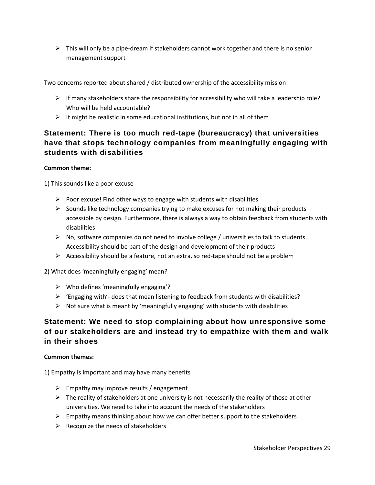$\triangleright$  This will only be a pipe-dream if stakeholders cannot work together and there is no senior management support

Two concerns reported about shared / distributed ownership of the accessibility mission

- $\triangleright$  If many stakeholders share the responsibility for accessibility who will take a leadership role? Who will be held accountable?
- $\triangleright$  It might be realistic in some educational institutions, but not in all of them

#### **Statement: There is too much red-tape (bureaucracy) that universities have that stops technology companies from meaningfully engaging with students with disabilities**

#### **Common theme:**

1) This sounds like a poor excuse

- $\triangleright$  Poor excuse! Find other ways to engage with students with disabilities
- $\triangleright$  Sounds like technology companies trying to make excuses for not making their products accessible by design. Furthermore, there is always a way to obtain feedback from students with disabilities
- $\triangleright$  No, software companies do not need to involve college / universities to talk to students. Accessibility should be part of the design and development of their products
- $\triangleright$  Accessibility should be a feature, not an extra, so red-tape should not be a problem

2) What does 'meaningfully engaging' mean?

- $\triangleright$  Who defines 'meaningfully engaging'?
- $\triangleright$  'Engaging with'- does that mean listening to feedback from students with disabilities?
- $\triangleright$  Not sure what is meant by 'meaningfully engaging' with students with disabilities

#### **Statement: We need to stop complaining about how unresponsive some of our stakeholders are and instead try to empathize with them and walk in their shoes**

#### **Common themes:**

1) Empathy is important and may have many benefits

- $\triangleright$  Empathy may improve results / engagement
- $\triangleright$  The reality of stakeholders at one university is not necessarily the reality of those at other universities. We need to take into account the needs of the stakeholders
- $\triangleright$  Empathy means thinking about how we can offer better support to the stakeholders
- $\triangleright$  Recognize the needs of stakeholders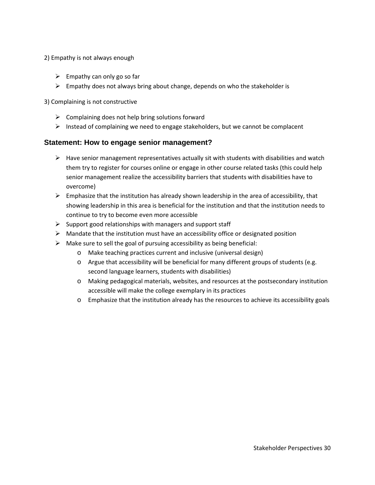- 2) Empathy is not always enough
	- $\triangleright$  Empathy can only go so far
	- $\triangleright$  Empathy does not always bring about change, depends on who the stakeholder is

3) Complaining is not constructive

- $\triangleright$  Complaining does not help bring solutions forward
- $\triangleright$  Instead of complaining we need to engage stakeholders, but we cannot be complacent

#### **Statement: How to engage senior management?**

- $\triangleright$  Have senior management representatives actually sit with students with disabilities and watch them try to register for courses online or engage in other course related tasks (this could help senior management realize the accessibility barriers that students with disabilities have to overcome)
- $\triangleright$  Emphasize that the institution has already shown leadership in the area of accessibility, that showing leadership in this area is beneficial for the institution and that the institution needs to continue to try to become even more accessible
- $\triangleright$  Support good relationships with managers and support staff
- $\triangleright$  Mandate that the institution must have an accessibility office or designated position
- $\triangleright$  Make sure to sell the goal of pursuing accessibility as being beneficial:
	- o Make teaching practices current and inclusive (universal design)
	- o Argue that accessibility will be beneficial for many different groups of students (e.g. second language learners, students with disabilities)
	- o Making pedagogical materials, websites, and resources at the postsecondary institution accessible will make the college exemplary in its practices
	- o Emphasize that the institution already has the resources to achieve its accessibility goals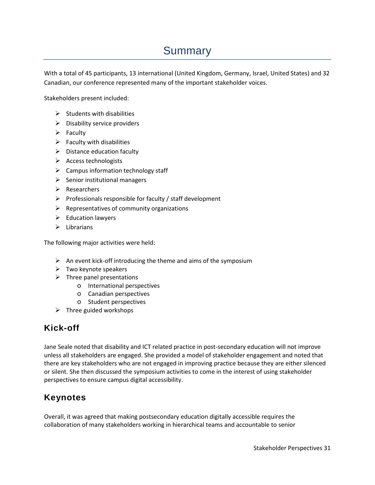# Summary

<span id="page-30-0"></span>With a total of 45 participants, 13 international (United Kingdom, Germany, Israel, United States) and 32 Canadian, our conference represented many of the important stakeholder voices.

Stakeholders present included:

- $\triangleright$  Students with disabilities
- $\triangleright$  Disability service providers
- $\triangleright$  Faculty
- $\triangleright$  Faculty with disabilities
- $\triangleright$  Distance education faculty
- $\triangleright$  Access technologists
- $\triangleright$  Campus information technology staff
- $\triangleright$  Senior institutional managers
- $\triangleright$  Researchers
- $\triangleright$  Professionals responsible for faculty / staff development
- $\triangleright$  Representatives of community organizations
- $\triangleright$  Education lawyers
- $\triangleright$  Librarians

The following major activities were held:

- $\triangleright$  An event kick-off introducing the theme and aims of the symposium
- $\triangleright$  Two keynote speakers
- $\triangleright$  Three panel presentations
	- o International perspectives
	- o Canadian perspectives
	- o Student perspectives
- $\triangleright$  Three guided workshops

### <span id="page-30-1"></span>**Kick-off**

Jane Seale noted that disability and ICT related practice in post-secondary education will not improve unless all stakeholders are engaged. She provided a model of stakeholder engagement and noted that there are key stakeholders who are not engaged in improving practice because they are either silenced or silent. She then discussed the symposium activities to come in the interest of using stakeholder perspectives to ensure campus digital accessibility.

### <span id="page-30-2"></span>**Keynotes**

Overall, it was agreed that making postsecondary education digitally accessible requires the collaboration of many stakeholders working in hierarchical teams and accountable to senior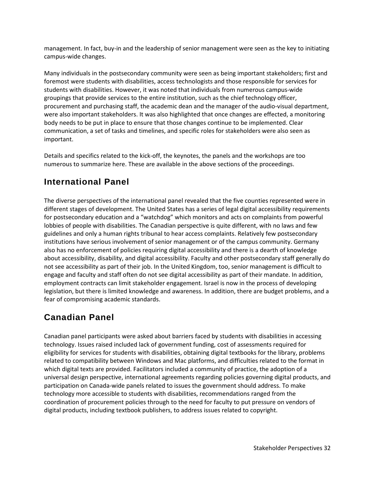management. In fact, buy-in and the leadership of senior management were seen as the key to initiating campus-wide changes.

Many individuals in the postsecondary community were seen as being important stakeholders; first and foremost were students with disabilities, access technologists and those responsible for services for students with disabilities. However, it was noted that individuals from numerous campus-wide groupings that provide services to the entire institution, such as the chief technology officer, procurement and purchasing staff, the academic dean and the manager of the audio-visual department, were also important stakeholders. It was also highlighted that once changes are effected, a monitoring body needs to be put in place to ensure that those changes continue to be implemented. Clear communication, a set of tasks and timelines, and specific roles for stakeholders were also seen as important.

Details and specifics related to the kick-off, the keynotes, the panels and the workshops are too numerous to summarize here. These are available in the above sections of the proceedings.

### <span id="page-31-0"></span>**International Panel**

The diverse perspectives of the international panel revealed that the five counties represented were in different stages of development. The United States has a series of legal digital accessibility requirements for postsecondary education and a "watchdog" which monitors and acts on complaints from powerful lobbies of people with disabilities. The Canadian perspective is quite different, with no laws and few guidelines and only a human rights tribunal to hear access complaints. Relatively few postsecondary institutions have serious involvement of senior management or of the campus community. Germany also has no enforcement of policies requiring digital accessibility and there is a dearth of knowledge about accessibility, disability, and digital accessibility. Faculty and other postsecondary staff generally do not see accessibility as part of their job. In the United Kingdom, too, senior management is difficult to engage and faculty and staff often do not see digital accessibility as part of their mandate. In addition, employment contracts can limit stakeholder engagement. Israel is now in the process of developing legislation, but there is limited knowledge and awareness. In addition, there are budget problems, and a fear of compromising academic standards.

### <span id="page-31-1"></span>**Canadian Panel**

Canadian panel participants were asked about barriers faced by students with disabilities in accessing technology. Issues raised included lack of government funding, cost of assessments required for eligibility for services for students with disabilities, obtaining digital textbooks for the library, problems related to compatibility between Windows and Mac platforms, and difficulties related to the format in which digital texts are provided. Facilitators included a community of practice, the adoption of a universal design perspective, international agreements regarding policies governing digital products, and participation on Canada-wide panels related to issues the government should address. To make technology more accessible to students with disabilities, recommendations ranged from the coordination of procurement policies through to the need for faculty to put pressure on vendors of digital products, including textbook publishers, to address issues related to copyright.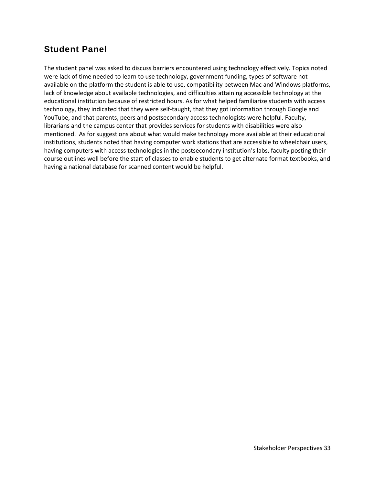#### <span id="page-32-0"></span>**Student Panel**

The student panel was asked to discuss barriers encountered using technology effectively. Topics noted were lack of time needed to learn to use technology, government funding, types of software not available on the platform the student is able to use, compatibility between Mac and Windows platforms, lack of knowledge about available technologies, and difficulties attaining accessible technology at the educational institution because of restricted hours. As for what helped familiarize students with access technology, they indicated that they were self-taught, that they got information through Google and YouTube, and that parents, peers and postsecondary access technologists were helpful. Faculty, librarians and the campus center that provides services for students with disabilities were also mentioned. As for suggestions about what would make technology more available at their educational institutions, students noted that having computer work stations that are accessible to wheelchair users, having computers with access technologies in the postsecondary institution's labs, faculty posting their course outlines well before the start of classes to enable students to get alternate format textbooks, and having a national database for scanned content would be helpful.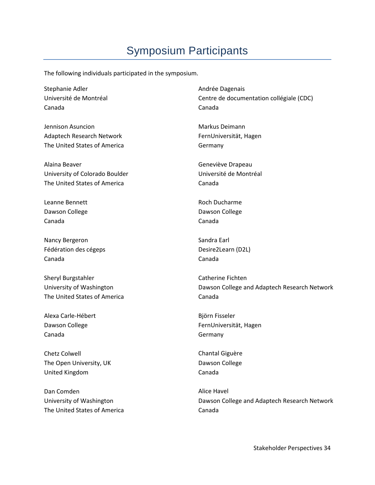# Symposium Participants

<span id="page-33-0"></span>The following individuals participated in the symposium.

Stephanie Adler Université de Montréal Canada

Jennison Asuncion Adaptech Research Network The United States of America

Alaina Beaver University of Colorado Boulder The United States of America

Leanne Bennett Dawson College Canada

Nancy Bergeron Fédération des cégeps Canada

Sheryl Burgstahler University of Washington The United States of America

Alexa Carle-Hébert Dawson College Canada

Chetz Colwell The Open University, UK United Kingdom

Dan Comden University of Washington The United States of America Andrée Dagenais Centre de documentation collégiale (CDC) Canada

Markus Deimann FernUniversität, Hagen Germany

Geneviève Drapeau Université de Montréal Canada

Roch Ducharme Dawson College Canada

Sandra Earl Desire2Learn (D2L) Canada

Catherine Fichten Dawson College and Adaptech Research Network Canada

Björn Fisseler FernUniversität, Hagen Germany

Chantal Giguère Dawson College Canada

Alice Havel Dawson College and Adaptech Research Network Canada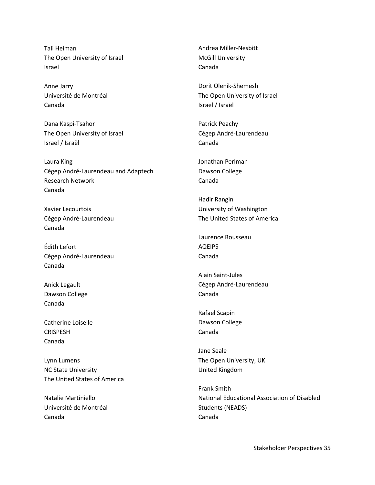Tali Heiman The Open University of Israel Israel

Anne Jarry Université de Montréal Canada

Dana Kaspi-Tsahor The Open University of Israel Israel / Israël

Laura King Cégep André-Laurendeau and Adaptech Research Network Canada

Xavier Lecourtois Cégep André-Laurendeau Canada

Édith Lefort Cégep André-Laurendeau Canada

Anick Legault Dawson College Canada

Catherine Loiselle **CRISPESH** Canada

Lynn Lumens NC State University The United States of America

Natalie Martiniello Université de Montréal Canada

Andrea Miller-Nesbitt McGill University Canada

Dorit Olenik-Shemesh The Open University of Israel Israel / Israël

Patrick Peachy Cégep André-Laurendeau Canada

Jonathan Perlman Dawson College Canada

Hadir Rangin University of Washington The United States of America

Laurence Rousseau AQEIPS Canada

Alain Saint-Jules Cégep André-Laurendeau Canada

Rafael Scapin Dawson College Canada

Jane Seale The Open University, UK United Kingdom

Frank Smith National Educational Association of Disabled Students (NEADS) Canada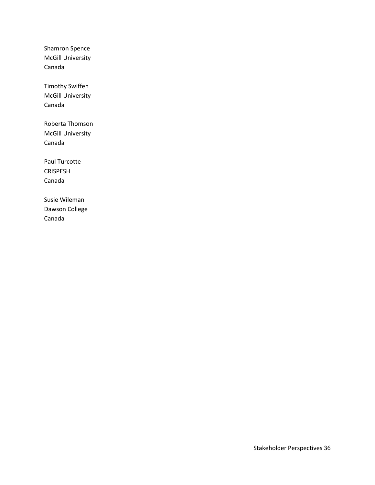Shamron Spence McGill University Canada

Timothy Swiffen McGill University Canada

Roberta Thomson McGill University Canada

Paul Turcotte CRISPESH Canada

<span id="page-35-0"></span>Susie Wileman Dawson College Canada